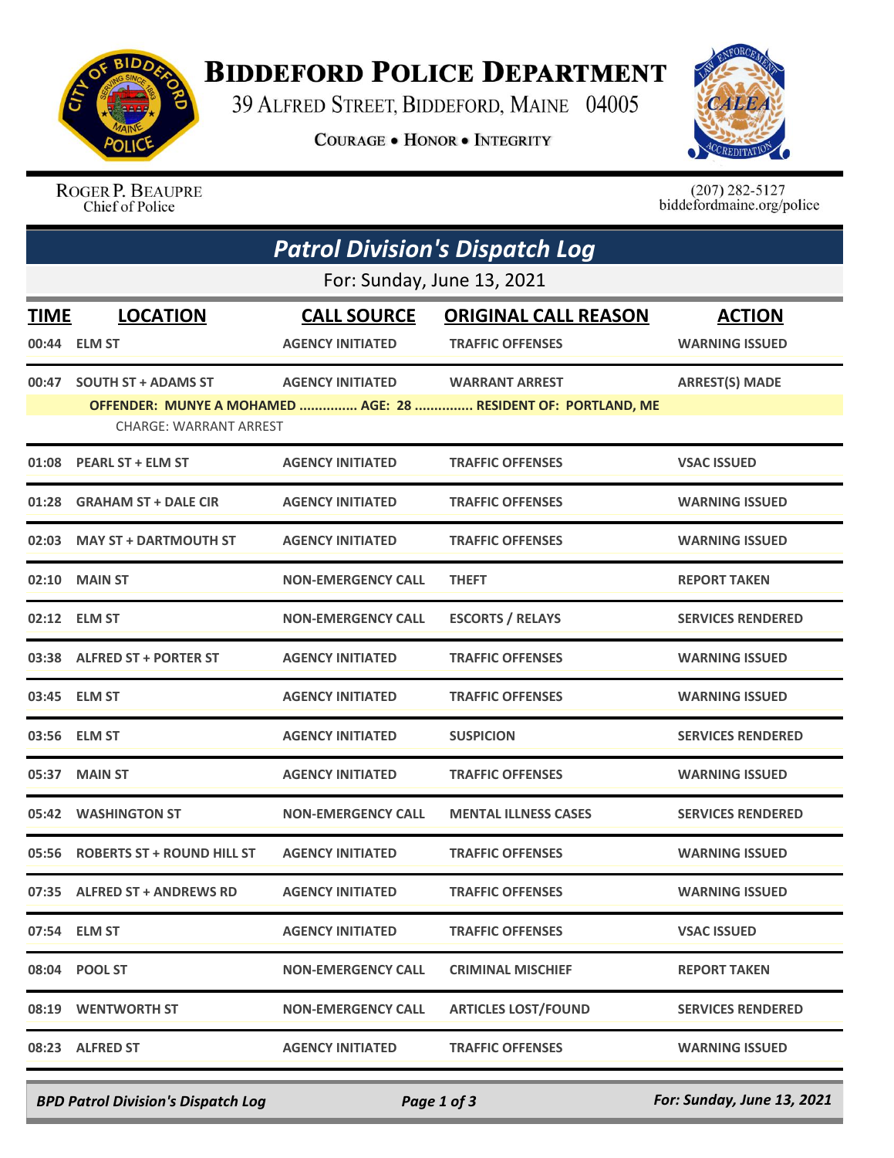

## **BIDDEFORD POLICE DEPARTMENT**

39 ALFRED STREET, BIDDEFORD, MAINE 04005

**COURAGE . HONOR . INTEGRITY** 



ROGER P. BEAUPRE Chief of Police

 $(207)$  282-5127<br>biddefordmaine.org/police

|                            | <b>Patrol Division's Dispatch Log</b> |                           |                                                               |                          |  |  |  |
|----------------------------|---------------------------------------|---------------------------|---------------------------------------------------------------|--------------------------|--|--|--|
| For: Sunday, June 13, 2021 |                                       |                           |                                                               |                          |  |  |  |
| TIME                       | <b>LOCATION</b>                       | <b>CALL SOURCE</b>        | <b>ORIGINAL CALL REASON</b>                                   | <b>ACTION</b>            |  |  |  |
|                            | 00:44 ELM ST                          | <b>AGENCY INITIATED</b>   | <b>TRAFFIC OFFENSES</b>                                       | <b>WARNING ISSUED</b>    |  |  |  |
| 00:47                      | <b>SOUTH ST + ADAMS ST</b>            | <b>AGENCY INITIATED</b>   | <b>WARRANT ARREST</b>                                         | <b>ARREST(S) MADE</b>    |  |  |  |
|                            | <b>CHARGE: WARRANT ARREST</b>         |                           | OFFENDER: MUNYE A MOHAMED  AGE: 28  RESIDENT OF: PORTLAND, ME |                          |  |  |  |
| 01:08                      | <b>PEARL ST + ELM ST</b>              | <b>AGENCY INITIATED</b>   | <b>TRAFFIC OFFENSES</b>                                       | <b>VSAC ISSUED</b>       |  |  |  |
| 01:28                      | <b>GRAHAM ST + DALE CIR</b>           | <b>AGENCY INITIATED</b>   | <b>TRAFFIC OFFENSES</b>                                       | <b>WARNING ISSUED</b>    |  |  |  |
| 02:03                      | <b>MAY ST + DARTMOUTH ST</b>          | <b>AGENCY INITIATED</b>   | <b>TRAFFIC OFFENSES</b>                                       | <b>WARNING ISSUED</b>    |  |  |  |
| 02:10                      | <b>MAIN ST</b>                        | <b>NON-EMERGENCY CALL</b> | <b>THEFT</b>                                                  | <b>REPORT TAKEN</b>      |  |  |  |
|                            | 02:12 ELM ST                          | <b>NON-EMERGENCY CALL</b> | <b>ESCORTS / RELAYS</b>                                       | <b>SERVICES RENDERED</b> |  |  |  |
|                            | 03:38 ALFRED ST + PORTER ST           | <b>AGENCY INITIATED</b>   | <b>TRAFFIC OFFENSES</b>                                       | <b>WARNING ISSUED</b>    |  |  |  |
|                            | 03:45 ELM ST                          | <b>AGENCY INITIATED</b>   | <b>TRAFFIC OFFENSES</b>                                       | <b>WARNING ISSUED</b>    |  |  |  |
| 03:56                      | <b>ELM ST</b>                         | <b>AGENCY INITIATED</b>   | <b>SUSPICION</b>                                              | <b>SERVICES RENDERED</b> |  |  |  |
| 05:37                      | <b>MAIN ST</b>                        | <b>AGENCY INITIATED</b>   | <b>TRAFFIC OFFENSES</b>                                       | <b>WARNING ISSUED</b>    |  |  |  |
|                            | 05:42 WASHINGTON ST                   | <b>NON-EMERGENCY CALL</b> | <b>MENTAL ILLNESS CASES</b>                                   | <b>SERVICES RENDERED</b> |  |  |  |
| 05:56                      | <b>ROBERTS ST + ROUND HILL ST</b>     | <b>AGENCY INITIATED</b>   | <b>TRAFFIC OFFENSES</b>                                       | <b>WARNING ISSUED</b>    |  |  |  |
|                            | 07:35 ALFRED ST + ANDREWS RD          | <b>AGENCY INITIATED</b>   | <b>TRAFFIC OFFENSES</b>                                       | <b>WARNING ISSUED</b>    |  |  |  |
|                            | 07:54 ELM ST                          | <b>AGENCY INITIATED</b>   | <b>TRAFFIC OFFENSES</b>                                       | <b>VSAC ISSUED</b>       |  |  |  |
|                            | 08:04 POOL ST                         | <b>NON-EMERGENCY CALL</b> | <b>CRIMINAL MISCHIEF</b>                                      | <b>REPORT TAKEN</b>      |  |  |  |
|                            | 08:19 WENTWORTH ST                    | <b>NON-EMERGENCY CALL</b> | <b>ARTICLES LOST/FOUND</b>                                    | <b>SERVICES RENDERED</b> |  |  |  |
|                            | 08:23 ALFRED ST                       | <b>AGENCY INITIATED</b>   | <b>TRAFFIC OFFENSES</b>                                       | <b>WARNING ISSUED</b>    |  |  |  |

*BPD Patrol Division's Dispatch Log Page 1 of 3 For: Sunday, June 13, 2021*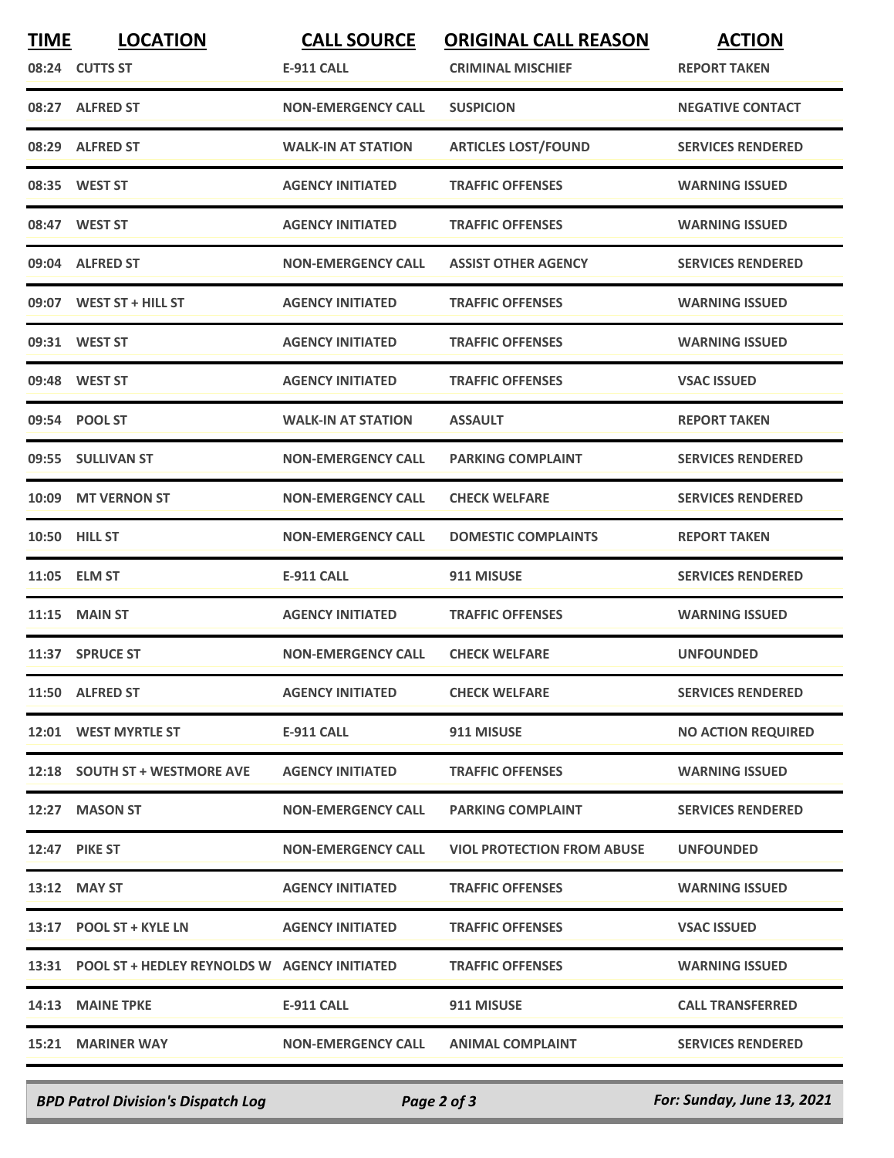| <b>TIME</b> | <b>LOCATION</b>                                    | <b>CALL SOURCE</b>        | <b>ORIGINAL CALL REASON</b>       | <b>ACTION</b>             |
|-------------|----------------------------------------------------|---------------------------|-----------------------------------|---------------------------|
|             | 08:24 CUTTS ST                                     | <b>E-911 CALL</b>         | <b>CRIMINAL MISCHIEF</b>          | <b>REPORT TAKEN</b>       |
|             | 08:27 ALFRED ST                                    | <b>NON-EMERGENCY CALL</b> | <b>SUSPICION</b>                  | <b>NEGATIVE CONTACT</b>   |
|             | 08:29 ALFRED ST                                    | <b>WALK-IN AT STATION</b> | <b>ARTICLES LOST/FOUND</b>        | <b>SERVICES RENDERED</b>  |
|             | 08:35 WEST ST                                      | <b>AGENCY INITIATED</b>   | <b>TRAFFIC OFFENSES</b>           | <b>WARNING ISSUED</b>     |
|             | 08:47 WEST ST                                      | <b>AGENCY INITIATED</b>   | <b>TRAFFIC OFFENSES</b>           | <b>WARNING ISSUED</b>     |
|             | 09:04 ALFRED ST                                    | <b>NON-EMERGENCY CALL</b> | <b>ASSIST OTHER AGENCY</b>        | <b>SERVICES RENDERED</b>  |
|             | 09:07 WEST ST + HILL ST                            | <b>AGENCY INITIATED</b>   | <b>TRAFFIC OFFENSES</b>           | <b>WARNING ISSUED</b>     |
|             | 09:31 WEST ST                                      | <b>AGENCY INITIATED</b>   | <b>TRAFFIC OFFENSES</b>           | <b>WARNING ISSUED</b>     |
|             | 09:48 WEST ST                                      | <b>AGENCY INITIATED</b>   | <b>TRAFFIC OFFENSES</b>           | <b>VSAC ISSUED</b>        |
|             | 09:54 POOL ST                                      | <b>WALK-IN AT STATION</b> | <b>ASSAULT</b>                    | <b>REPORT TAKEN</b>       |
|             | 09:55 SULLIVAN ST                                  | <b>NON-EMERGENCY CALL</b> | <b>PARKING COMPLAINT</b>          | <b>SERVICES RENDERED</b>  |
| 10:09       | <b>MT VERNON ST</b>                                | <b>NON-EMERGENCY CALL</b> | <b>CHECK WELFARE</b>              | <b>SERVICES RENDERED</b>  |
|             | 10:50 HILL ST                                      | <b>NON-EMERGENCY CALL</b> | <b>DOMESTIC COMPLAINTS</b>        | <b>REPORT TAKEN</b>       |
|             | 11:05 ELM ST                                       | <b>E-911 CALL</b>         | 911 MISUSE                        | <b>SERVICES RENDERED</b>  |
| 11:15       | <b>MAIN ST</b>                                     | <b>AGENCY INITIATED</b>   | <b>TRAFFIC OFFENSES</b>           | <b>WARNING ISSUED</b>     |
|             | 11:37 SPRUCE ST                                    | <b>NON-EMERGENCY CALL</b> | <b>CHECK WELFARE</b>              | <b>UNFOUNDED</b>          |
|             | 11:50 ALFRED ST                                    | <b>AGENCY INITIATED</b>   | <b>CHECK WELFARE</b>              | <b>SERVICES RENDERED</b>  |
|             | 12:01 WEST MYRTLE ST                               | E-911 CALL                | 911 MISUSE                        | <b>NO ACTION REQUIRED</b> |
|             | 12:18 SOUTH ST + WESTMORE AVE                      | <b>AGENCY INITIATED</b>   | <b>TRAFFIC OFFENSES</b>           | <b>WARNING ISSUED</b>     |
|             | 12:27 MASON ST                                     | <b>NON-EMERGENCY CALL</b> | <b>PARKING COMPLAINT</b>          | <b>SERVICES RENDERED</b>  |
|             | <b>12:47 PIKE ST</b>                               | <b>NON-EMERGENCY CALL</b> | <b>VIOL PROTECTION FROM ABUSE</b> | <b>UNFOUNDED</b>          |
|             | 13:12 MAY ST                                       | <b>AGENCY INITIATED</b>   | <b>TRAFFIC OFFENSES</b>           | <b>WARNING ISSUED</b>     |
|             | 13:17 POOL ST + KYLE LN                            | <b>AGENCY INITIATED</b>   | <b>TRAFFIC OFFENSES</b>           | <b>VSAC ISSUED</b>        |
|             | 13:31 POOL ST + HEDLEY REYNOLDS W AGENCY INITIATED |                           | <b>TRAFFIC OFFENSES</b>           | <b>WARNING ISSUED</b>     |
|             | 14:13 MAINE TPKE                                   | E-911 CALL                | 911 MISUSE                        | <b>CALL TRANSFERRED</b>   |
|             | 15:21 MARINER WAY                                  | <b>NON-EMERGENCY CALL</b> | <b>ANIMAL COMPLAINT</b>           | <b>SERVICES RENDERED</b>  |
|             |                                                    |                           |                                   |                           |

*BPD Patrol Division's Dispatch Log Page 2 of 3 For: Sunday, June 13, 2021*